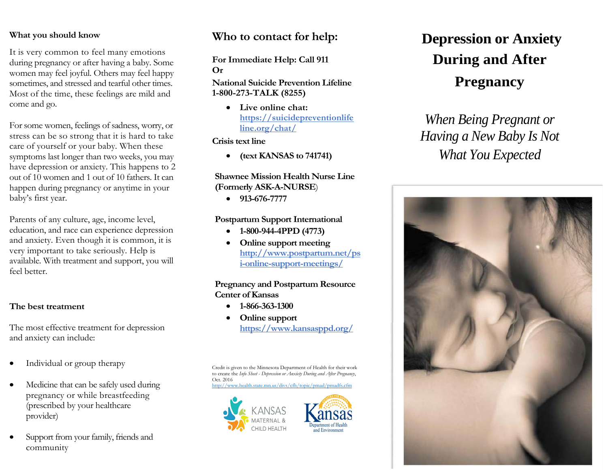#### **What you should know**

It is very common to feel many emotions during pregnancy or after having a baby. Some women may feel joyful. Others may feel happy sometimes, and stressed and tearful other times. Most of the time, these feelings are mild and come and go.

For some women, feelings of sadness, worry, or stress can be so strong that it is hard to take care of yourself or your baby. When these symptoms last longer than two weeks, you may have depression or anxiety. This happens to 2 out of 10 women and 1 out of 10 fathers. It can happen during pregnancy or anytime in your baby's first year.

Parents of any culture, age, income level, education, and race can experience depression and anxiety. Even though it is common, it is very important to take seriously. Help is available. With treatment and support, you will feel better.

#### **The best treatment**

The most effective treatment for depression and anxiety can include:

- Individual or group therapy
- Medicine that can be safely used during pregnancy or while breastfeeding (prescribed by your healthcare provider)
- Support from your family, friends and community

# **Who to contact for help:**

**For Immediate Help: Call 911 Or**

**National Suicide Prevention Lifeline 1-800-273-TALK (8255)**

> • **Live online chat: https://suicidepreventionlife line.org/chat/**

**Crisis text line**

• **(text KANSAS to 741741)** 

#### **Shawnee Mission Health Nurse Line (Formerly ASK-A-NURSE**)

• **913-676-7777**

#### **Postpartum Support International**

- **1-800-944-4PPD (4773)**
- **Online support meeting [http://www.postpartum.net/ps](http://www.postpartum.net/psi-online-support-meetings/) [i-online-support-meetings/](http://www.postpartum.net/psi-online-support-meetings/)**

#### **Pregnancy and Postpartum Resource Center of Kansas**

- **1-866-363-1300**
- **Online support <https://www.kansasppd.org/>**

Credit is given to the Minnesota Department of Health for their work to create the *Info Sheet - Depression or Anxiety During and After Pregnancy*, Oct. 2016

mn us/divs/cfh/topic/pmad/pmadfs.cfm





# **Depression or Anxiety During and After Pregnancy**

*When Being Pregnant or Having a New Baby Is Not What You Expected*